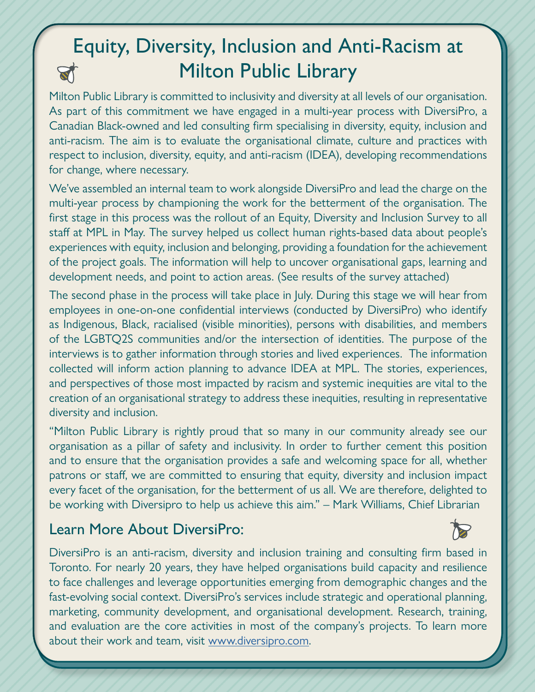## Equity, Diversity, Inclusion and Anti-Racism at Milton Public Library

Milton Public Library is committed to inclusivity and diversity at all levels of our organisation. As part of this commitment we have engaged in a multi-year process with DiversiPro, a Canadian Black-owned and led consulting firm specialising in diversity, equity, inclusion and anti-racism. The aim is to evaluate the organisational climate, culture and practices with respect to inclusion, diversity, equity, and anti-racism (IDEA), developing recommendations for change, where necessary.

We've assembled an internal team to work alongside DiversiPro and lead the charge on the multi-year process by championing the work for the betterment of the organisation. The first stage in this process was the rollout of an Equity, Diversity and Inclusion Survey to all staff at MPL in May. The survey helped us collect human rights-based data about people's experiences with equity, inclusion and belonging, providing a foundation for the achievement of the project goals. The information will help to uncover organisational gaps, learning and development needs, and point to action areas. (See results of the survey attached)

The second phase in the process will take place in July. During this stage we will hear from employees in one-on-one confidential interviews (conducted by DiversiPro) who identify as Indigenous, Black, racialised (visible minorities), persons with disabilities, and members of the LGBTQ2S communities and/or the intersection of identities. The purpose of the interviews is to gather information through stories and lived experiences. The information collected will inform action planning to advance IDEA at MPL. The stories, experiences, and perspectives of those most impacted by racism and systemic inequities are vital to the creation of an organisational strategy to address these inequities, resulting in representative diversity and inclusion.

"Milton Public Library is rightly proud that so many in our community already see our organisation as a pillar of safety and inclusivity. In order to further cement this position and to ensure that the organisation provides a safe and welcoming space for all, whether patrons or staff, we are committed to ensuring that equity, diversity and inclusion impact every facet of the organisation, for the betterment of us all. We are therefore, delighted to be working with Diversipro to help us achieve this aim." – Mark Williams, Chief Librarian

#### Learn More About DiversiPro:

DiversiPro is an anti-racism, diversity and inclusion training and consulting firm based in Toronto. For nearly 20 years, they have helped organisations build capacity and resilience to face challenges and leverage opportunities emerging from demographic changes and the fast-evolving social context. DiversiPro's services include strategic and operational planning, marketing, community development, and organisational development. Research, training, and evaluation are the core activities in most of the company's projects. To learn more about their work and team, visit [www.diversipro.com.](http://www.diversipro.com)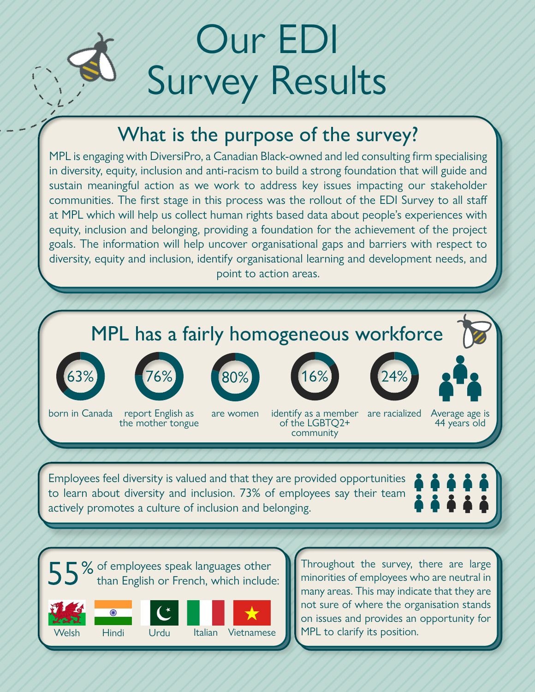# Our EDI Survey Results

### What is the purpose of the survey?

MPL is engaging with DiversiPro, a Canadian Black-owned and led consulting firm specialising in diversity, equity, inclusion and anti-racism to build a strong foundation that will guide and sustain meaningful action as we work to address key issues impacting our stakeholder communities. The first stage in this process was the rollout of the EDI Survey to all staff at MPL which will help us collect human rights based data about people's experiences with equity, inclusion and belonging, providing a foundation for the achievement of the project goals. The information will help uncover organisational gaps and barriers with respect to diversity, equity and inclusion, identify organisational learning and development needs, and point to action areas.

## MPL has a fairly homogeneous workforce





the mother tongue









born in Canada report English as are women identify as a member are racialized Average age is<br>the mother tongue of the LGBTQ2+ 44 years old of the LGBTQ2+ community

Employees feel diversity is valued and that they are provided opportunities to learn about diversity and inclusion. 73% of employees say their team actively promotes a culture of inclusion and belonging.



 $\Box$  % of employees speak languages other than English or French, which include:









Throughout the survey, there are large minorities of employees who are neutral in many areas. This may indicate that they are not sure of where the organisation stands on issues and provides an opportunity for MPL to clarify its position.